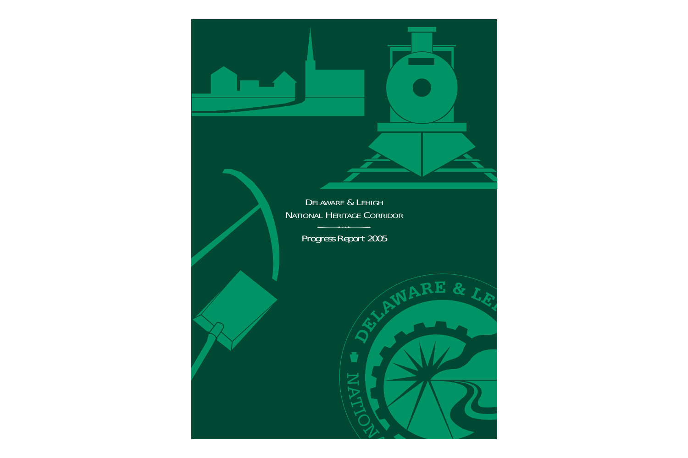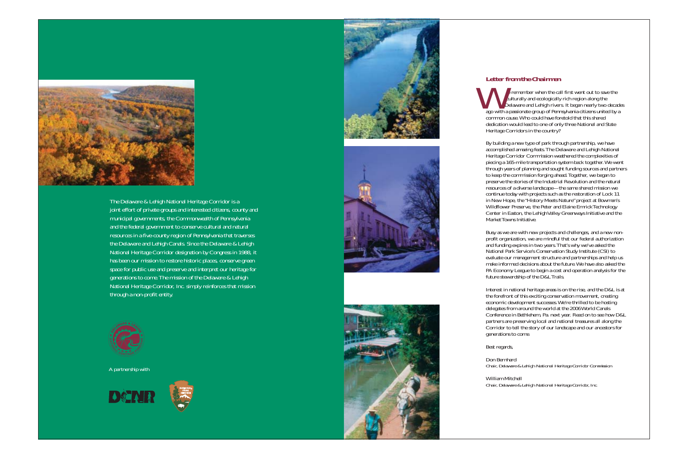

The Delaware & Lehigh National Heritage Corridor is a joint effort of private groups and interested citizens, county and municipal governments, the Commonwealth of Pennsylvania and the federal government to conserve cultural and natural resources in a five-county region of Pennsylvania that traverses the Delaware and Lehigh Canals. Since the Delaware & Lehigh National Heritage Corridor designation by Congress in 1988, it has been our mission to restore historic places, conserve green space for public use and preserve and interpret our heritage for generations to come.The mission of the Delaware & Lehigh National Heritage Corridor, Inc. simply reinforces that mission through a non-profit entity.



A partnership with











# *Letter from the Chairmen*

e remember when the call first went out to save the culturally and ecologically rich region along the e remember when the call first went out to save the culturally and ecologically rich region along the Delaware and Lehigh rivers. It began nearly two decades ago with a passionate group of Pennsylvania citizens united by a common cause.Who could have foretold that this shared dedication would lead to one of only three National and State Heritage Corridors in the country?

By building a new type of park through partnership, we have accomplished amazing feats.The Delaware and Lehigh National Heritage Corridor Commission weathered the complexities of piecing a 165-mile transportation system back together.We went through years of planning and sought funding sources and partners to keep the commission forging ahead.Together, we began to preserve the stories of the Industrial Revolution and the natural resources of a diverse landscape—the same shared mission we continue today with projects such as the restoration of Lock 11 in New Hope, the "History Meets Nature" project at Bowman's Wildflower Preserve, the Peter and Elaine Emrick Technology Center in Easton, the Lehigh Valley Greenways Initiative and the Market Towns Initiative.

Busy as we are with new projects and challenges, and a new nonprofit organization, we are mindful that our federal authorization and funding expires in two years.That's why we've asked the National Park Service's Conservation Study Institute (CSI) to evaluate our management structure and partnerships and help us make informed decisions about the future.We have also asked the PA Economy League to begin a cost and operation analysis for the future stewardship of the D&L Trails.

Interest in national heritage areas is on the rise, and the D&L is at the forefront of this exciting conservation movement, creating economic development successes.We're thrilled to be hosting delegates from around the world at the 2006 World Canals Conference in Bethlehem, Pa. next year. Read on to see how D&L partners are preserving local and national treasures all along the Corridor to tell the story of our landscape and our ancestors for generations to come.

Best regards,

Don Bernhard *Chair, Delaware & Lehigh National Heritage Corridor Commission*

William Mitchell *Chair, Delaware & Lehigh National Heritage Corridor, Inc.*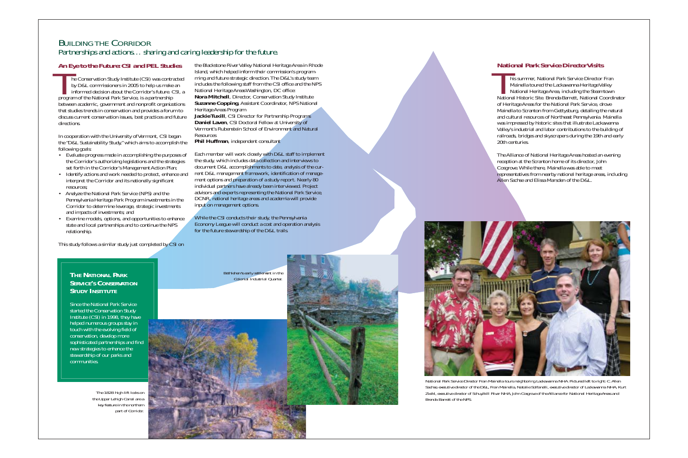# BUILDING THE CORRIDOR Partnerships and actions… sharing and caring leadership for the future.

he Conservation Study Institute (CSI) was contracted by D&L commissioners in 2005 to help us make an informed decision about the Corridor's future. CSI, <sup>a</sup> program of the National Park Service, is a partnership between academic, government and nonprofit organizations that studies trends in conservation and provides a forum to discuss current conservation issues, best practices and future directions.The Corporation of the Corporation of the Corporation of the Corporation of the Corporation of the Corporation of the Corporation of the Corporation of the Corporation of the Corporation of the Corporation of the Corporati

# *An Eye to the Future: CSI and PEL Studies*

In cooperation with the University of Vermont, CSI began the "D&L Sustainability Study," which aims to accomplish the following goals:

the Blackstone River Valley National Heritage Area in Rhode Island, which helped inform their commission's programming and future strategic direction.The D&L's study team includes the following staff from the CSI office and the NPS National Heritage Areas Washington, DC office: **Nora Mitchell**, Director, Conservation Study Institute **Suzanne Copping, Assistant Coordinator, NPS National** Heritage Areas Program *An Eve to the Future: CSI and PEL Studies*<br>
Island, which helped inform their commission's program-<br>
the Conservation Study Institute (CSI) was contracted ming and future strategic direction. The D&L's study team<br>
by D&L

- Evaluate progress made in accomplishing the purposes of the Corridor's authorizing legislations and the strategies set forth in the Corridor's Management Action Plan;
- Identify actions and work needed to protect, enhance and interpret the Corridor and its nationally significant resources;
- Analyze the National Park Service (NPS) and the Pennsylvania Heritage Park Program investments in the Corridor to determine leverage, strategic investments and impacts of investments; and
- Examine models, options, and opportunities to enhance state and local partnerships and to continue the NPS relationship.

This study follows a similar study just completed by CSI on

National Historic Site. Brenda Barrett, National Coordinator of Heritage Areas for the National Park Service, drove Mainella to Scranton from Gettysburg, detailing the natural and cultural resources of Northeast Pennsylvania. Mainella was impressed by historic sites that illustrate Lackawanna Valley's industrial and labor contributions to the building of railroads, bridges and skyscrapers during the 19th and early 20th centuries.**National Park Service Director Visits<br>
his summer, National Park Service Director Fran<br>
Mainella toured the Lackawanna Heritage Valley<br>
National Heritage Area, including the Steamtown** 

**Jackie Tuxill**, CSI Director for Partnership Programs **Daniel Laven**, CSI Doctoral Fellow at University of Vermont's Rubenstein School of Environment and Natural Resources

**Phil Huffman**, independent consultant

Each member will work closely with D&L staff to implement the study, which includes data collection and interviews to document D&L accomplishments to date, analysis of the current D&L management framework, identification of management options and preparation of a study report. Nearly 80 individual partners have already been interviewed. Project advisors and experts representing the National Park Service, DCNR, national heritage areas and academia will provide input on management options.

While the CSI conducts their study, the Pennsylvania Economy League will conduct a cost and operation analysis for the future stewardship of the D&L trails.

The Alliance of National Heritage Areas hosted an evening reception at the Scranton home of its director, John Cosgrove.While there, Mainella was able to meet representatives from nearby national heritage areas, including Allen Sachse and Elissa Marsden of the D&L.

*National Park Service Director Fran Mainella tours neighboring Lackawanna NHA. Pictured left to right: C.Allen Sachse, executive director of the D&L, Fran Mainella, Natalie Solfanelli, executive director of Lackawanna NHA, Kurt Zwikl, executive director of Schuylkill River NHA, John Cosgrove of the Alliance for National Heritage Areas and*



*Brenda Barrett of the NPS.*

#### **THENATIONALPARKSERVICE'S CONSERVATION STUDYINSTITUTE**

Since the National Park Servicestarted the Conservation Study Institute (CSI) in 1998, they have helped numerous groups stay in touch with the evolving field of conservation, develop more sophisticated partnerships and find new strategies to enhance the stewardship of our parks and communities.

*Bethlehem's early settlement in the Colonial Industrial Quarter.*



*The 1828 high lift locks on the Upper Lehigh Canal are a key feature in the northern part of Corridor.*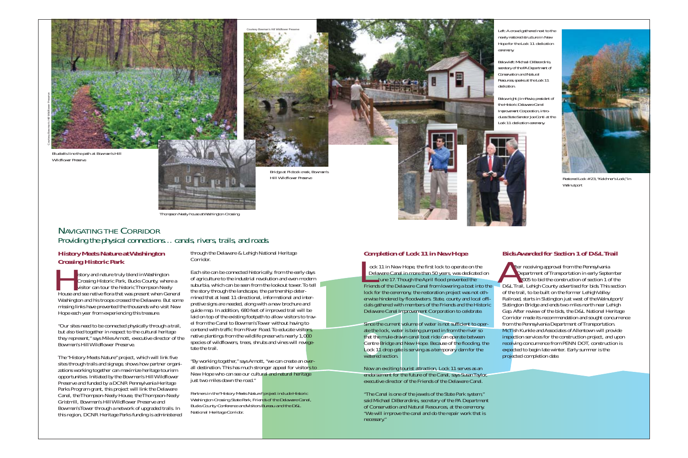#### *Completion of Lock 11 in New Hope*

ock 11 in New Hope, the first lock to operate on the Delaware Canal in more than 50 years, was dedicated on **June 17. Though the April flood prevented the** Friends of the Delaware Canal from lowering a boat into the lock for the ceremony, the restoration project was not otherwise hindered by floodwaters. State, county and local officials gathered with members of the Friends and the Historic Delaware Canal Improvement Corporation to celebrate. ock 11 in New Hope, the first lock to operate on the<br>Delaware Canal in more than 50 years, was dedicated on<br>June 17. Though the April flood prevented the<br>2005

Since the current volume of water is not sufficient to operate the lock, water is being pumped in from the river so that the mule-drawn canal boat ride can operate between Centre Bridge and New Hope. Because of the flooding, the Lock 11 drop gate is serving as a temporary dam for the watered section.

Now an exciting tourist attraction, Lock 11 serves as an endorsement for the future of the Canal, says Susan Taylor, executive director of the Friends of the Delaware Canal.

"The Canal is one of the jewels of the State Park system," said Michael DiBerardinis, secretary of the PA Department of Conservation and Natural Resources, at the ceremony. "We will improve the canal and do the repair work that is necessary."

### *Bids Awarded for Section 1 of D&L Trail*

istory and nature truly blend in Washington Crossing Historic Park, Bucks County, where a visitor can tour the historic Thompson Neely House and see native flora that was present when General Washington and his troops crossed the Delaware. But some missing links have prevented the thousands who visit New Hope each year from experiencing this treasure. External Second Second Second Second Second Second Second Second Second Second Second Second Second Second Second Second Second Second Second Second Second Second Second Second Second Second Second Second Second Second Sec

fter receiving approval from the Pennsylvania Department of Transportation in early September 2005 to bid the construction of section 1 of the D&L Trail, Lehigh County advertised for bids. This section of the trail, to be built on the former Lehigh Valley Railroad, starts in Slatington just west of the Walnutport/ Slatington Bridge and ends two miles north near Lehigh Gap. After review of the bids, the D&L National Heritage Corridor made its recommendation and sought concurrence from the Pennsylvania Department of Transportation. McTish Kunkle and Associates of Allentown will provide inspection services for the construction project, and upon receiving concurrence from PENN DOT, construction is expected to begin late winter. Early summer is the projected completion date.

*Left:A crowd gathered next to the newly restored structure in New Hope for the Lock 11 dedication ceremony.*

*Below left:Michael DiBerardinis, secretary of the PA Department of Conservation and Natural Resources,speaks at the Lock 11 dedication.*

*Below right:Jim Revie,president of the Historic Delaware CanalImprovement Corporation,introduces State Senator Joe Conti at theLock 11 dedication ceremony.*





*Wildflower Preserve.*



*Thompson Neely house at Washington Crossing*

*Bridge at Pidcock creek, Bowman's Hill Wildflower Preserve*

# NAVIGATING THE CORRIDORProviding the physical connections… canals, rivers, trails, and roads.

#### *History Meets Nature at Washington Crossing Historic Park*

"Our sites need to be connected physically through a trail, but also tied together in respect to the cultural heritage they represent," says Miles Arnott, executive director of the Bowman's Hill Wildflower Preserve.

The "History Meets Nature" project, which will link five sites through trails and signage, shows how partner organizations working together can maximize heritage tourism opportunities. Initiated by the Bowman's Hill Wildflower Preserve and funded by a DCNR Pennsylvania Heritage Parks Program grant, this project will link the Delaware Canal, the Thompson-Neely House, the Thompson-Neely Gristmill, Bowman's Hill Wildflower Preserve and Bowman's Tower through a network of upgraded trails. In this region, DCNR Heritage Parks funding is administered through the Delaware & Lehigh National Heritage Corridor.

Each site can be connected historically, from the early days of agriculture to the industrial revolution and even modern suburbia, which can be seen from the lookout tower. To tell the story through the landscape, the partnership determined that at least 11 directional, informational and interpretive signs are needed, along with a new brochure and guide map. In addition, 680 feet of improved trail will be laid on top of the existing footpath to allow visitors to travel from the Canal to Bowman's Tower without having to contend with traffic from River Road.To educate visitors, native plantings from the wildlife preserve's nearly 1,000 species of wildflowers, trees, shrubs and vines will revegetate the trail.

*Partners in the "History Meets Nature" project include Historic Washington Crossing State Park, Friends of the Delaware Canal, Bucks County Conference and Visitors Bureau and the D&L National Heritage Corridor.*

Courtesy Bowman's Hill Wildflower Preserve

"By working together," says Arnott, "we can create an overall destination.This has much stronger appeal for visitors to New Hope who can see our cultural and natural heritage just two miles down the road."



*Restored Lock #23,"Kelchner's Lock," in Walnutport*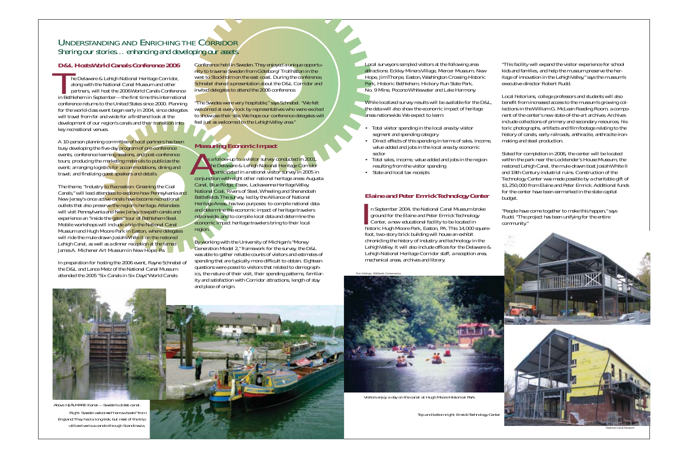# UNDERSTANDING AND ENRICHING THE CORRIDOR Sharing our stories… enhancing and developing our assets.

# *D&L Hosts World Canals Conference 2006*

he Delaware & Lehigh National Heritage Corridor, along with the National Canal Museum and other The Delaware & Lehigh National Heritage Corridor,<br>along with the National Canal Museum and other<br>partners, will host the 2006 World Canals Conference in Bethlehem in September—the first time this international conference returns to the United States since 2000. Planning for the world-class event began early in 2004, since delegates will travel from far and wide for a firsthand look at the development of our region's canals and their transition into key recreational venues.

A 10-person planning committee of local partners has been busy developing the five-day program of pre-conference events, conference learning sessions, and post-conference tours; producing the marketing materials to publicize the event; arranging logistics for accommodations, dining and travel; and finalizing guest speakers and details.

The theme, "Industry to Recreation: Greening the Coal Canals," will lead attendees to explore how Pennsylvania and New Jersey's once active canals have become recreational outlets that also preserve the region's heritage. Attendees will visit Pennsylvania and New Jersey towpath canals and experience an "inside the gates" tour of Bethlehem Steel. Mobile workshops will include a trip the National Canal Museum and Hugh Moore Park in Easton, where delegates will ride the mule-drawn Josiah White II on the restored Lehigh Canal, as well as a dinner reception at the famed James A. Michener Art Museum in New Hope, Pa.

In preparation for hosting the 2006 event, Rayne Schnabel of the D&L and Lance Metz of the National Canal Museum attended the 2005 "Six Canals in Six Days"World Canals

Conference held in Sweden.They enjoyed a unique opportunity to traverse Sweden from Göteborg/Trollhättan in the west to Stockholm on the east coast. During the conference, Schnabel shared a presentation about the D&L Corridor and invited delegates to attend the 2006 conference.

> While localized survey results will be available for the D&L, the data will also show the economic impact of heritage areas nationwide. We expect to learn:

"The Swedes were very hospitable," says Schnabel. "We felt welcomed at every lock by representatives who were excited to showcase their site.We hope our conference delegates will feel just as welcomed to the Lehigh Valley area."

## *Measuring Economic Impact*

- Total visitor spending in the local area by visitor segment and spending category
- Direct effects of this spending in terms of sales, income, value added and jobs in the local area by economic sector
- Total sales, income, value added and jobs in the region resulting from the visitor spending
- State and local tax receipts

s a follow-up to a visitor survey conducted in 2001, the Delaware & Lehigh National Heritage Corridor s a follow-up to a visitor survey conducted in 2001,<br>the Delaware & Lehigh National Heritage Corridor<br>participated in a national visitor survey in 2005 in conjunction with eight other national heritage areas: Augusta Canal, Blue Ridge, Essex, Lackawanna Heritage Valley, National Coal, Rivers of Steel,Wheeling and Shenandoah Battlefields.The survey, led by the Alliance of National Heritage Areas, has two purposes: to compile national data and determine the economic impact of heritage travelers nationwide, and to compile local data and determine the economic impact heritage travelers bring to their local region.

By working with the University of Michigan's "Money Generation Model 2," framework for the survey, the D&L was able to gather reliable counts of visitors and estimates of spending that are typically more difficult to obtain. Eighteen questions were posed to visitors that related to demographics, the nature of their visit, their spending patterns, familiarity and satisfaction with Corridor attractions, length of stay and place of origin.

### *Elaine and Peter Emrick Technology Center*

n September 2004, the National Canal Museum broke ground for the Elaine and Peter Emrick Technology In September 2004, the National Canal Museum bracquared for the Elaine and Peter Emrick Technology<br>Center, a new educational facility to be located in historic Hugh Moore Park, Easton, PA.This 14,000 squarefoot, two-story brick building will house an exhibit chronicling the history of industry and technology in the Lehigh Valley. It will also include offices for the Delaware  $\&$ Lehigh National Heritage Corridor staff, a reception area, mechanical areas, archives and library.

Local surveyors sampled visitors at the following area attractions: Eckley Miners Village, Mercer Museum, New Hope, Jim Thorpe, Easton,Washington Crossing Historic Park, Historic Bethlehem, Hickory Run State Park, No. 9 Mine, Pocono Whitewater and Lake Harmony.

"This facility will expand the visitor experience for school kids and families, and help the museum preserve the heritage of innovation in the Lehigh Valley," says the museum's executive director Robert Rudd.

Local historians, college professors and students will also benefit from increased access to the museum's growing collections in the William G. McLean Reading Room, a component of the center's new state-of-the-art archives. Archives include collections of primary and secondary resources, historic photographs, artifacts and film footage relating to the history of canals, early railroads, anthracite, anthracite ironmaking and steel production.

Slated for completion in 2006, the center will be located within the park near the Locktender's House Museum, the restored Lehigh Canal, the mule-drawn boat Josiah White II and 19th Century industrial ruins. Construction of the Technology Center was made possible by a charitable gift of \$1,250,000 from Elaine and Peter Emrick. Additional funds for the center have been earmarked in the state capital budget.

"People have come together to make this happen," says Rudd. "The project has been unifying for the entire community."



*Top and bottom right: Emrick Technology Center*



*Visitors enjoy a day on the canal at Hugh Moore Historical Park.*



*Above: HJÄLMARE Kanal—Sweden's oldest canal. Right: Sweden welcomed "narrow boats" from England.They had a long trek, but most of the trip utilized various canals through Scandinavia.*

National Canal Museum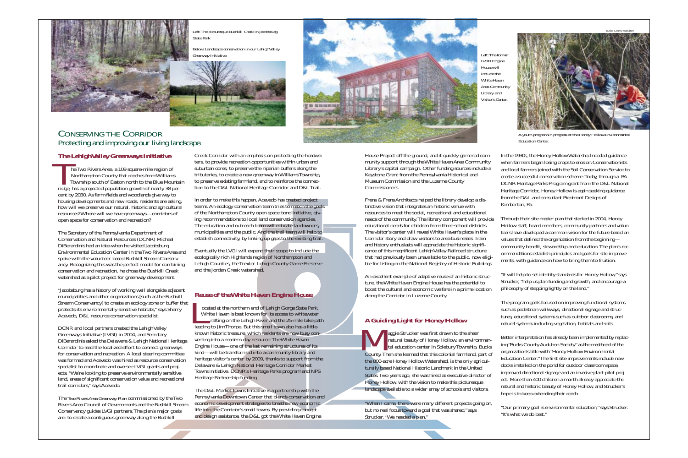# CONSERVING THE CORRIDORProtecting and improving our living landscape.

he Two Rivers Area, a 109 square-mile region of Northampton County that reaches from Williams Township south of Easton north to the Blue Mountain ridge, has a projected population growth of nearly 38 percent by 2030. As farm fields and woodlands give way to housing developments and new roads, residents are asking, how will we preserve our natural, historic and agricultural resources? Where will we have greenways—corridors of open space for conservation and recreation? The Two North Towns

# *The Lehigh Valley Greenways Initiative*

The Secretary of the Pennsylvania Department of Conservation and Natural Resources (DCNR) Michael DiBerardinis had an idea when he visited Jacobsburg Environmental Education Center in the Two Rivers Area andspoke with the volunteer-based Bushkill Stream Conservancy. Recognizing this was the perfect model for combining conservation and recreation, he chose the Bushkill Creek watershed as a pilot project for greenway development.

"Jacobsburg has a history of working well alongside adjacent municipalities and other organizations [such as the Bushkill Stream Conservancy] to create an ecology zone or buffer that protects its environmentally sensitive habitats," says Sherry Acevedo, D&L resource conservation specialist.

ocated at the northern end of Lehigh Gorge State Park, White Haven is best known for its access to whitewater rafting on the Lehigh River and the 25-mile bike path leading to Jim Thorpe. But this small town also has a littleknown historic treasure, which residents are now busy converting into a modern-day resource.The White Haven Engine House—one of the last remaining structures of its kind—will be transformed into a community library and heritage visitor's center by 2009, thanks to support from the Delaware & Lehigh National Heritage Corridor Market Towns initiative, DCNR's Heritage Parks program and NPS Heritage Partnership funding. Cocated<br>
White I<br>
raft

DCNR and local partners created the Lehigh Valley Greenways Initiative (LVGI) in 2004, and Secretary DiBerardinis asked the Delaware & Lehigh National Heritage Corridor to lead the localized effort to connect greenways for conservation and recreation. A local steering committee was formed and Acevedo was hired as resource conservation specialist to coordinate and oversee LVGI grants and projects. "We're looking to preserve environmentally sensitive land, areas of significant conservation value and recreational trail corridors," says Acevedo.

The *Two Rivers Area Greenway Plan* commissioned by the Two Rivers Area Council of Governments and the Bushkill StreamConservancy guides LVGI partners.The plan's major goals are: to create a contiguous greenway along the Bushkill

Creek Corridor with an emphasis on protecting the headwaters, to provide recreation opportunities within urban and suburban cores, to preserve the riparian buffers along the tributaries, to create a new greenway in Williams Township, to preserve existing farmland, and to reinforce the connection to the D&L National Heritage Corridor and D&L Trail.

> An excellent example of adaptive reuse of an historic ture, the White Haven Engine House has the potential boost the cultural and economic welfare in a prime lo along the Corridor in Luzerne County.

In order to make this happen, Acevedo has created project teams. An ecology conservation team tries to match the goals of the Northampton County open space bond initiative, giving recommendations to local land conservation agencies. The education and outreach team will educate landowners, municipalities and the public. And the trail team will help to establish connectivity, by linking up gaps to the existing trail.

> "When I came, there were many different projects go but no real focus toward a goal that was shared," says Strucker. "We needed a plan."

Eventually the LVGI will expand their scope to include the ecologically rich Highlands region of Northampton and Lehigh Counties, the Trexler-Lehigh County Game Preserve and the Jordan Creek watershed.

#### *Reuse of the White Haven Engine House*

The D&L Market Towns Initiative is a partnership with the Pennsylvania Downtown Center that blends conservation and economic development strategies to breathe new economic life into the Corridor's small towns. By providing concept and design assistance, the D&L got the White Haven Engine

House Project off the ground, and it quickly garnered community support through the White Haven Area Community Library's capital campaign. Other funding sources include a Keystone Grant from the Pennsylvania Historical and Museum Commission and the Luzerne County Commissioners.

Frens & Frens Architects helped the library develop a tinctive vision that integrates an historic venue with resources to meet the social, recreational and educati needs of the community. The library component will educational needs for children from three school disti The visitor's center will reveal White Haven's place in Corridor story and draw visitors to area businesses.' and history enthusiasts will appreciate the historic sig cance of this magnificent Lehigh Valley Railroad structure that had previously been unavailable to the public, no ble for listing on the National Registry of Historic Bu

# *A Guiding Light for Honey Hollow*

aggie Strucker was first drawn to the sheer natural beauty of Honey Hollow, an environ tal education center in Solebury Township, County. Then she learned that this colonial farmland, the 800-acre Honey Hollow Watershed, is the only ag turally based National Historic Landmark in the United States. Two years ago, she was hired as executive directors. Honey Hollow, with the vision to make this picturesque landscape available to a wider array of schools and visit aggie !

In the 1930s, the Honey Hollow Watershed needed guidance

| munity<br>clude a<br>a dis-                                                                      | when farmers began losing crops to erosion. Conservationists<br>and local farmers joined with the Soil Conservation Service to<br>create a successful conservation scheme. Today, through a PA<br>DCNR Heritage Parks Program grant from the D&L National<br>Heritage Corridor, Honey Hollow is again seeking guidance<br>from the D&L and consultant Piedmont Designs of<br>Kimberton, Pa.                                                                                                                                                            |
|--------------------------------------------------------------------------------------------------|--------------------------------------------------------------------------------------------------------------------------------------------------------------------------------------------------------------------------------------------------------------------------------------------------------------------------------------------------------------------------------------------------------------------------------------------------------------------------------------------------------------------------------------------------------|
| ional<br>provide<br>ricts.<br>n the<br><b>Train</b><br>şnifi-<br>cture<br>)w eligi-<br>uildings. | Through their site master plan that started in 2004, Honey<br>Hollow staff, board members, community partners and volun-<br>teers have developed a common vision for the future based on<br>values that defined the organization from the beginning-<br>community benefit, stewardship and education. The plan's rec-<br>ommendations establish principles and goals for site improve-<br>ments, with guidance on how to bring them to fruition.                                                                                                       |
| c struc-<br>al to<br>ocation                                                                     | "It will help to set identity standards for Honey Hollow," says<br>Strucker, "help us plan funding and growth, and encourage a<br>philosophy of stepping lightly on the land."                                                                                                                                                                                                                                                                                                                                                                         |
|                                                                                                  | The program goals focused on improving functional systems<br>such as pedestrian walkways, directional signage and struc-<br>tures; educational systems such as outdoor classrooms; and<br>natural systems including vegetation, habitats and soils.                                                                                                                                                                                                                                                                                                    |
| 'n,<br>onmen-<br>, Bucks<br>part of<br>gricul-<br>ted<br>ector of<br>que<br>sitors.              | Better interpretation has already been implemented by replac-<br>ing "Bucks County Audubon Society" as the masthead of the<br>organization's title with "Honey Hollow Environmental<br>Education Center." The first site improvements include new<br>docks installed on the pond for outdoor classroom space,<br>improved directional signage and an invasive plant pilot proj-<br>ect. More than 400 children a month already appreciate the<br>natural and historic beauty of Honey Hollow, and Strucker's<br>hope is to keep extending their reach. |
| bing on,                                                                                         | "Our primary goal is environmental education," says Strucker.<br>"It's what we do best."                                                                                                                                                                                                                                                                                                                                                                                                                                                               |



*Left:The picturesque Bushkill Creek in Jacobsburg State Park*

*Below: Landscape conservation in our Lehigh Valley*





*LVRR Engine House willinclude theWhite HavenArea Community Library and Visitor's Center.*



*A youth program in progress at the Honey Hollow Environmental Education Center.*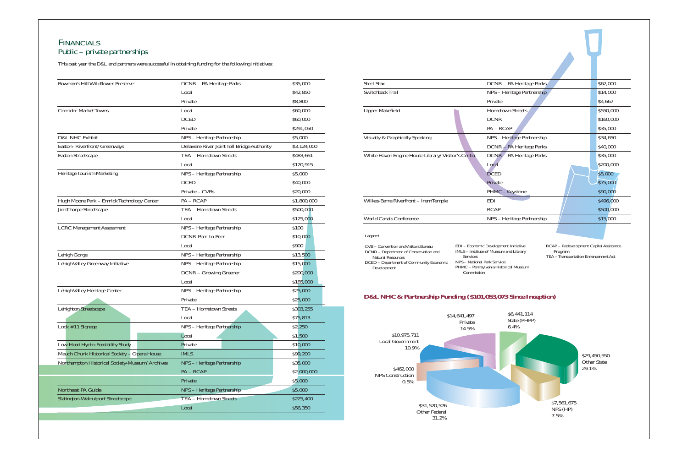# FINANCIALS Public – private partnerships

This past year the D&L and partners were successful in obtaining funding for the following initiatives:

| <b>Bowman's Hill Wildflower Preserve</b>       | DCNR - PA Heritage Parks                   | \$35,000    |
|------------------------------------------------|--------------------------------------------|-------------|
|                                                | Local                                      | \$42,850    |
|                                                | Private                                    | \$8,800     |
| <b>Corridor Market Towns</b>                   | Local                                      | \$60,000    |
|                                                | <b>DCED</b>                                | \$60,000    |
|                                                | Private                                    | \$291,050   |
| D&L NHC Exhibit                                | NPS - Heritage Partnership                 | \$5,000     |
| Easton-Riverfront/Greenways                    | Delaware River Joint Toll Bridge Authority | \$3,124,000 |
| <b>Easton Streetscape</b>                      | TEA - Hometown Streets                     | \$483,661   |
|                                                | Local                                      | \$120,915   |
| Heritage Tourism Marketing                     | NPS - Heritage Partnership                 | \$5,000     |
|                                                | <b>DCED</b>                                | \$40,000    |
|                                                | Private - CVBs                             | \$20,000    |
| Hugh Moore Park - Emrick Technology Center     | $PA - RCAP$                                | \$1,800,000 |
| <b>Jim Thorpe Streetscape</b>                  | TEA - Hometown Streets                     | \$500,000   |
|                                                | Local                                      | \$125,000   |
| <b>LCRC</b> Management Assessment              | NPS - Heritage Partnership                 | \$100       |
|                                                | DCNR-Peer-to-Peer                          | \$10,000    |
|                                                | Local                                      | \$900       |
| Lehigh Gorge                                   | NPS - Heritage Partnership                 | \$13,500    |
| Lehigh Valley Greenway Initiative              | NPS - Heritage Partnership                 | \$15,000    |
|                                                | DCNR - Growing Greener                     | \$200,000   |
|                                                | Local                                      | \$185,000   |
| Lehigh Valley Heritage Center                  | NPS - Heritage Partnership                 | \$25,000    |
|                                                | Private                                    | \$25,000    |
| <b>Lehighton Streetscape</b>                   | TEA - Hometown Streets                     | \$303,255   |
|                                                | Local                                      | \$75,813    |
| Lock $#11$ Signage                             | NPS - Heritage Partnership                 | \$2,250     |
|                                                | Local                                      | \$1,500     |
| Low Head Hydro Feasibility Study               | Private                                    | \$10,000    |
| Mauch Chunk Historical Society - Opera House   | <b>IMLS</b>                                | \$99,200    |
| Northampton Historical Society-Museum/Archives | NPS - Heritage Partnership                 | \$35,000    |
|                                                | PA-RCAP                                    | \$2,000,000 |
|                                                | Private                                    | \$5,000     |
| Northeast PA Guide                             | NPS - Heritage Partnership                 | \$5,000     |
| <b>Slatington-Walnutport Streetscape</b>       | <b>TEA - Hometown Streets</b>              | \$225,400   |
|                                                | Local                                      | \$56,350    |

Steel Stax Switchback Trail Upper Makefield Visually & Graphically Speaking White Haven Engine House Library/Visitor's Center Wilkes-Barre Riverfront – Irem Temple World Canals Conference *Legend:* CVB – Convention and Visitors Bureau DCNR – Department of Conservation and Natural Resources DCED – Department of Community Economic Development EDI – Econon  $IMLS - Institute$ ServicesPHMC – Penn Commiss *D&L NHC & Partnership Funding (\$10* \$14,641,497 Private  $14.5\%$ \$10,975,711 Local Government

|                             | DCNR - PA Heritage Parks                                                                   | \$62,000                                |
|-----------------------------|--------------------------------------------------------------------------------------------|-----------------------------------------|
|                             | NPS - Heritage Partnership                                                                 | \$14,000                                |
|                             | Private                                                                                    | \$4,667                                 |
|                             | <b>Hometown Streets</b>                                                                    | \$550,000                               |
|                             | <b>DCNR</b>                                                                                | \$160,000                               |
|                             | $PA - RCAP$                                                                                | \$35,000                                |
|                             | NPS - Heritage Partnership                                                                 | \$34,650                                |
|                             | DCNR - PA Heritage Parks                                                                   | \$40,000                                |
| r's Center                  | DCNR - PA Heritage Parks                                                                   | \$35,000                                |
|                             | Local                                                                                      | \$200,000                               |
|                             | <b>DCED</b>                                                                                | \$5,000                                 |
|                             | Private                                                                                    | \$75,000                                |
|                             | PHMC - Keystone                                                                            | \$90,000                                |
|                             | <b>EDI</b>                                                                                 | \$496,000                               |
|                             | <b>RCAP</b>                                                                                | \$500,000                               |
|                             | NPS - Heritage Partnership                                                                 | \$15,000                                |
|                             |                                                                                            |                                         |
|                             |                                                                                            |                                         |
|                             | EDI - Economic Development Initiative<br>IMLS – Institute of Museum and Library<br>Program | RCAP - Redevelopment Capital Assistance |
| Services                    |                                                                                            | TEA - Transportation Enhancement Act    |
| NPS - National Park Service | PHMC - Pennsylvania Historical Museum                                                      |                                         |
| Commission                  |                                                                                            |                                         |
|                             |                                                                                            |                                         |
|                             | ing (\$101,053,073 Since Inception)                                                        |                                         |
|                             |                                                                                            |                                         |
| 641,497                     | \$6,441,114                                                                                |                                         |
| Private                     | State (PHPP)<br>6.4%                                                                       |                                         |
| 14.5%                       |                                                                                            |                                         |
|                             |                                                                                            |                                         |
|                             |                                                                                            | \$29,450,550                            |
|                             |                                                                                            | <b>Other State</b>                      |
|                             |                                                                                            | 29.1%                                   |
|                             |                                                                                            |                                         |
|                             |                                                                                            |                                         |



\$7,561,675 NPS (HP) 7.5%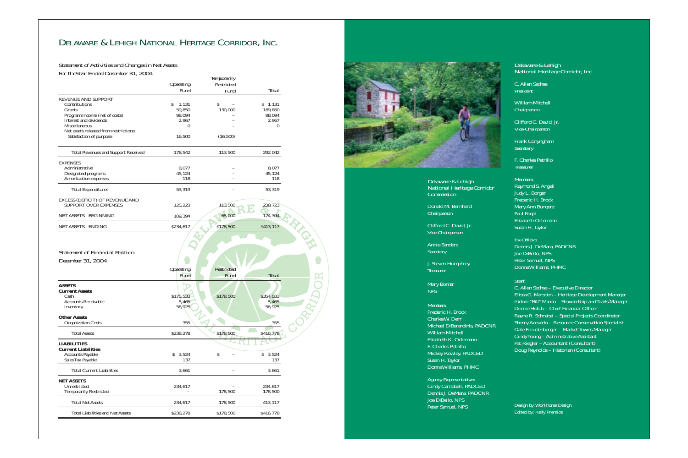*Delaware & Lehigh National Heritage Corridor, Inc.*

C.Allen Sachse*President* 

William Mitchell *Chairperson*

Clifford C. David, Jr. *Vice-Chairperson*

Frank Conyngham *Secretary*

F. Charles Petrillo*Treasurer*

*Members:*

Raymond S. Angeli Judy L. Borger Frederic H. Brock Mary Ann Bungerz Paul Fogal Elizabeth Orlemann Susan H.Taylor

*Ex-Officio:*Dennis J. DeMara, PADCNR Joe DiBello, NPS Peter Samuel, NPS Donna Williams, PHMC

*Staff:*

C.Allen Sachse – Executive Director Elissa G. Marsden – Heritage Development Manager Isidore "Bill" Mineo – Stewardship and Trails Manager Denise Holub – Chief Financial Officer Rayne R. Schnabel – Special Projects Coordinator Sherry Acevedo – Resource Conservation Specialist Dale Freudenberger – Market Towns Manager Cindy Young – Administrative Assistant Pat Riegler – Accountant (Consultant) Doug Reynolds – Historian (Consultant)

Design by:Workhorse Design Edited by: Kelly Prentice

*Delaware & Lehigh National Heritage Corridor Commission*

Donald M. Bernhard *Chairperson* 

Clifford C. David, Jr. *Vice-Chairperson*

Annie Sanders *Secretary*

J. Steven Humphrey *Treasurer*

Mary Bomar *NPS*

PIDOR

*Members:* Frederic H. Brock Charles W. Derr Michael DiBerardinis, PADCNR William Mitchell Elizabeth K. OrlemannF. Charles Petrillo Mickey Rowley, PADCED Susan H. Taylor Donna Williams, PHMC

*Agency Representatives:* Cindy Campbell, PADCED Dennis J. DeMara, PADCNR Joe DiBello, NPS Peter Samuel, NPS

# DELAWARE & LEHIGH NATIONAL HERITAGE CORRIDOR, INC.

| Tor the Ical Linucu December 01, 2007                                                     |                                        | <b>Temporarily</b>               |                                        |
|-------------------------------------------------------------------------------------------|----------------------------------------|----------------------------------|----------------------------------------|
|                                                                                           | <i><b>Operating</b></i><br><b>Fund</b> | Restricted<br>Fund               | <b>Total</b>                           |
| REVENUE AND SUPPORT<br>Contributions                                                      | $\mathcal{S}$<br>1,131                 | \$                               | \$1,131                                |
| Grants<br>Program Income (net of costs)<br>Interest and dividends<br>Miscellaneous        | 59,850<br>98,094<br>2,967<br>$\theta$  | 130,000                          | 189,850<br>98,094<br>2,967<br>$\theta$ |
| Net assets released from restrictions:<br>Satisfaction of purpose                         | 16,500                                 | (16, 500)                        |                                        |
| <b>Total Revenues and Support Received</b>                                                | 178,542                                | 113,500                          | 292,042                                |
| <b>EXPENSES</b><br>Administrative<br>Designated programs                                  | 8,077<br>45,124                        |                                  | 8,077<br>45,124                        |
| Amortization expenses                                                                     | 118                                    |                                  | 118                                    |
| <b>Total Expenditures</b>                                                                 | 53,319                                 |                                  | 53,319                                 |
| EXCESS (DEFICIT) OF REVENUE AND<br><b>SUPPORT OVER EXPENSES</b>                           | 125,223                                | 143,500                          | 238,723                                |
| NET ASSETS - BEGINNING                                                                    | 109,394                                | 65,000                           | 174,394                                |
| NET ASSETS - ENDING                                                                       | \$234,617                              | \$178,500                        | \$413,117                              |
| <b>Statement of Financial Position</b><br>December 31, 2004                               | <i><b>Operating</b></i><br><b>Fund</b> | <b>Restricted</b><br><b>Fund</b> | <b>Total</b>                           |
| <b>ASSETS</b><br><b>Current Assets</b><br>Cash<br><b>Accounts Receivable</b><br>Inventory | \$175,533<br>5,465<br>56,925           | \$178,500                        | \$354,033<br>5,465<br>56,925           |
| <b>Other Assets</b><br><b>Organization Costs</b>                                          | 355                                    |                                  | 355                                    |
| <b>Total Assets</b>                                                                       | \$238,278                              | \$178,500                        | \$416,778                              |
| <b>LIABILITIES</b><br><b>Current Liabilities</b><br><b>Accounts Payable</b>               | 3,524<br>\$                            | $\boldsymbol{\mathsf{S}}$        | 3,524<br>\$                            |
| Sales Tax Payable                                                                         | 137                                    |                                  | 137                                    |
| <b>Total Current Liabilities</b>                                                          | 3,661                                  |                                  | 3,661                                  |
| <b>NET ASSETS</b><br>Unrestricted<br><b>Temporarily Restricted</b>                        | 234,617                                | 178,500                          | 234,617<br>178,500                     |
| <b>Total Net Assets</b>                                                                   | 234,617                                | 178,500                          | 413,117                                |
| <b>Total Liabilities and Net Assets</b>                                                   | \$238,278                              | \$178,500                        | \$416,778                              |



*Statement of Activities and Changes in Net Assets For the Year Ended December 31, 2004*